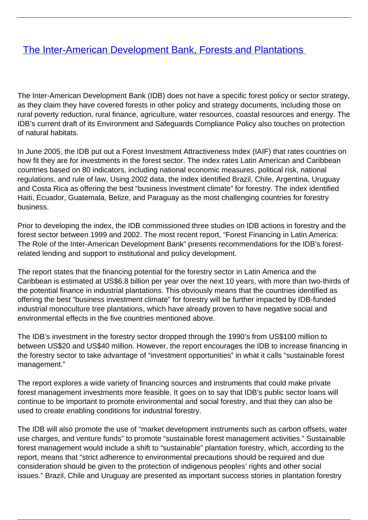## [The Inter-American Development Bank, Forests and Plantations](/bulletin-articles/the-inter-american-development-bank-forests-and-plantations)

The Inter-American Development Bank (IDB) does not have a specific forest policy or sector strategy, as they claim they have covered forests in other policy and strategy documents, including those on rural poverty reduction, rural finance, agriculture, water resources, coastal resources and energy. The IDB's current draft of its Environment and Safeguards Compliance Policy also touches on protection of natural habitats.

In June 2005, the IDB put out a Forest Investment Attractiveness Index (IAIF) that rates countries on how fit they are for investments in the forest sector. The index rates Latin American and Caribbean countries based on 80 indicators, including national economic measures, political risk, national regulations, and rule of law. Using 2002 data, the index identified Brazil, Chile, Argentina, Uruguay and Costa Rica as offering the best "business investment climate" for forestry. The index identified Haiti, Ecuador, Guatemala, Belize, and Paraguay as the most challenging countries for forestry business.

Prior to developing the index, the IDB commissioned three studies on IDB actions in forestry and the forest sector between 1999 and 2002. The most recent report, "Forest Financing in Latin America: The Role of the Inter-American Development Bank" presents recommendations for the IDB's forestrelated lending and support to institutional and policy development.

The report states that the financing potential for the forestry sector in Latin America and the Caribbean is estimated at US\$6.8 billion per year over the next 10 years, with more than two-thirds of the potential finance in industrial plantations. This obviously means that the countries identified as offering the best "business investment climate" for forestry will be further impacted by IDB-funded industrial monoculture tree plantations, which have already proven to have negative social and environmental effects in the five countries mentioned above.

The IDB's investment in the forestry sector dropped through the 1990's from US\$100 million to between US\$20 and US\$40 million. However, the report encourages the IDB to increase financing in the forestry sector to take advantage of "investment opportunities" in what it calls "sustainable forest management."

The report explores a wide variety of financing sources and instruments that could make private forest management investments more feasible. It goes on to say that IDB's public sector loans will continue to be important to promote environmental and social forestry, and that they can also be used to create enabling conditions for industrial forestry.

The IDB will also promote the use of "market development instruments such as carbon offsets, water use charges, and venture funds" to promote "sustainable forest management activities." Sustainable forest management would include a shift to "sustainable" plantation forestry, which, according to the report, means that "strict adherence to environmental precautions should be required and due consideration should be given to the protection of indigenous peoples' rights and other social issues." Brazil, Chile and Uruguay are presented as important success stories in plantation forestry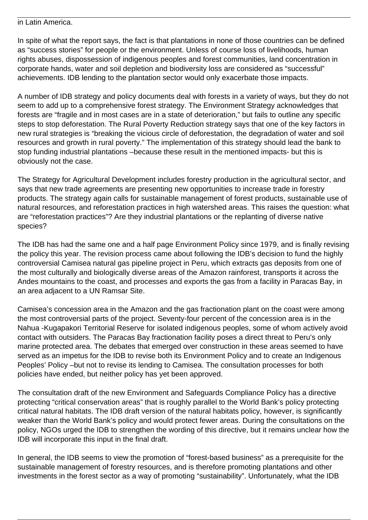## in Latin America.

In spite of what the report says, the fact is that plantations in none of those countries can be defined as "success stories" for people or the environment. Unless of course loss of livelihoods, human rights abuses, dispossession of indigenous peoples and forest communities, land concentration in corporate hands, water and soil depletion and biodiversity loss are considered as "successful" achievements. IDB lending to the plantation sector would only exacerbate those impacts.

A number of IDB strategy and policy documents deal with forests in a variety of ways, but they do not seem to add up to a comprehensive forest strategy. The Environment Strategy acknowledges that forests are "fragile and in most cases are in a state of deterioration," but fails to outline any specific steps to stop deforestation. The Rural Poverty Reduction strategy says that one of the key factors in new rural strategies is "breaking the vicious circle of deforestation, the degradation of water and soil resources and growth in rural poverty." The implementation of this strategy should lead the bank to stop funding industrial plantations –because these result in the mentioned impacts- but this is obviously not the case.

The Strategy for Agricultural Development includes forestry production in the agricultural sector, and says that new trade agreements are presenting new opportunities to increase trade in forestry products. The strategy again calls for sustainable management of forest products, sustainable use of natural resources, and reforestation practices in high watershed areas. This raises the question: what are "reforestation practices"? Are they industrial plantations or the replanting of diverse native species?

The IDB has had the same one and a half page Environment Policy since 1979, and is finally revising the policy this year. The revision process came about following the IDB's decision to fund the highly controversial Camisea natural gas pipeline project in Peru, which extracts gas deposits from one of the most culturally and biologically diverse areas of the Amazon rainforest, transports it across the Andes mountains to the coast, and processes and exports the gas from a facility in Paracas Bay, in an area adjacent to a UN Ramsar Site.

Camisea's concession area in the Amazon and the gas fractionation plant on the coast were among the most controversial parts of the project. Seventy-four percent of the concession area is in the Nahua -Kugapakori Territorial Reserve for isolated indigenous peoples, some of whom actively avoid contact with outsiders. The Paracas Bay fractionation facility poses a direct threat to Peru's only marine protected area. The debates that emerged over construction in these areas seemed to have served as an impetus for the IDB to revise both its Environment Policy and to create an Indigenous Peoples' Policy –but not to revise its lending to Camisea. The consultation processes for both policies have ended, but neither policy has yet been approved.

The consultation draft of the new Environment and Safeguards Compliance Policy has a directive protecting "critical conservation areas" that is roughly parallel to the World Bank's policy protecting critical natural habitats. The IDB draft version of the natural habitats policy, however, is significantly weaker than the World Bank's policy and would protect fewer areas. During the consultations on the policy, NGOs urged the IDB to strengthen the wording of this directive, but it remains unclear how the IDB will incorporate this input in the final draft.

In general, the IDB seems to view the promotion of "forest-based business" as a prerequisite for the sustainable management of forestry resources, and is therefore promoting plantations and other investments in the forest sector as a way of promoting "sustainability". Unfortunately, what the IDB